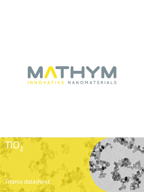